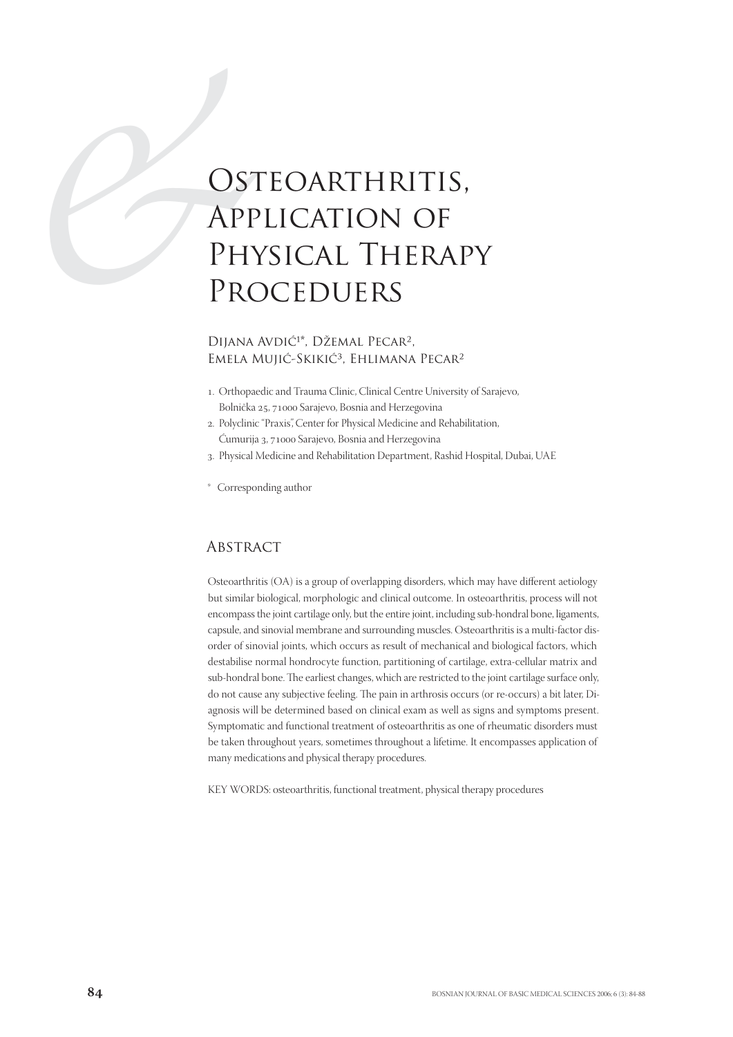# OST<br>
APF<br>
PHY<br>
PRC<br>
DIJANA OSTEOARTHRITIS, Application of Physical Therapy Proceduers

#### DIJANA AVDIĆ<sup>1\*</sup>, DŽEMAL PECAR<sup>2</sup>, Emela Mujić-Skikić<sup>3</sup>, Ehlimana Pecar<sup>2</sup>

- . Orthopaedic and Trauma Clinic, Clinical Centre University of Sarajevo, Bolnička 25, 71000 Sarajevo, Bosnia and Herzegovina
- . Polyclinic "Praxis", Center for Physical Medicine and Rehabilitation, Ćumurija 3, 71000 Sarajevo, Bosnia and Herzegovina
- . Physical Medicine and Rehabilitation Department, Rashid Hospital, Dubai, UAE
- \* Corresponding author

## **ABSTRACT**

Osteoarthritis (OA) is a group of overlapping disorders, which may have different aetiology but similar biological, morphologic and clinical outcome. In osteoarthritis, process will not encompass the joint cartilage only, but the entire joint, including sub-hondral bone, ligaments, capsule, and sinovial membrane and surrounding muscles. Osteoarthritis is a multi-factor disorder of sinovial joints, which occurs as result of mechanical and biological factors, which destabilise normal hondrocyte function, partitioning of cartilage, extra-cellular matrix and sub-hondral bone. The earliest changes, which are restricted to the joint cartilage surface only, do not cause any subjective feeling. The pain in arthrosis occurs (or re-occurs) a bit later, Diagnosis will be determined based on clinical exam as well as signs and symptoms present. Symptomatic and functional treatment of osteoarthritis as one of rheumatic disorders must be taken throughout years, sometimes throughout a lifetime. It encompasses application of many medications and physical therapy procedures.

KEY WORDS: osteoarthritis, functional treatment, physical therapy procedures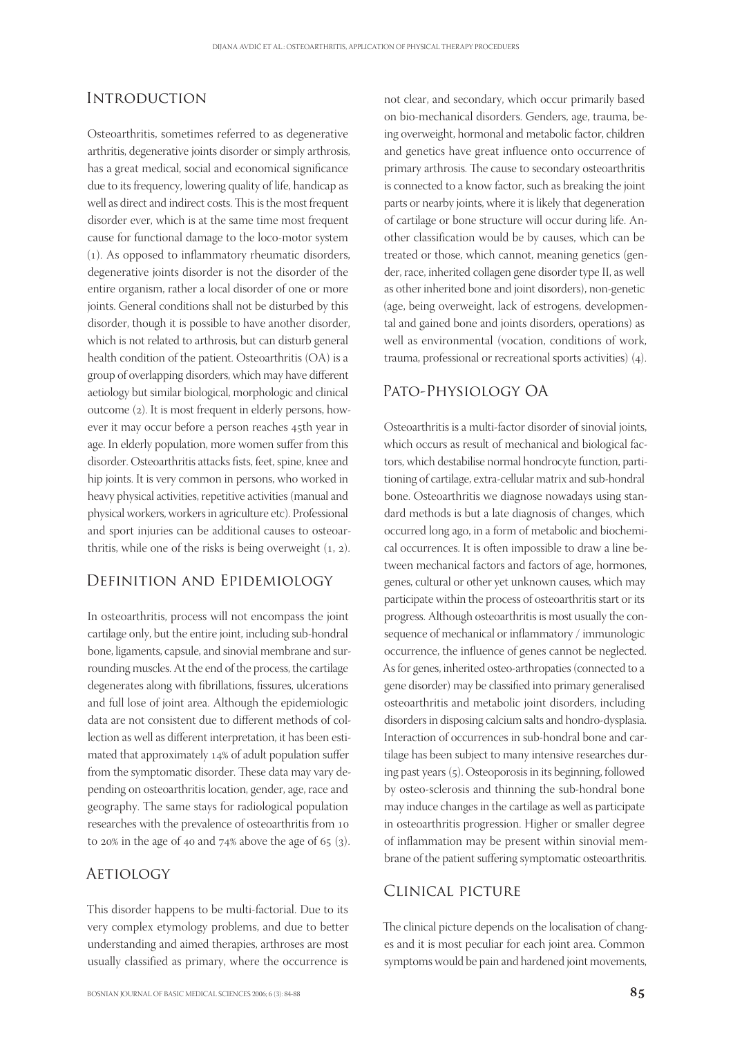## **INTRODUCTION**

Osteoarthritis, sometimes referred to as degenerative arthritis, degenerative joints disorder or simply arthrosis, has a great medical, social and economical significance due to its frequency, lowering quality of life, handicap as well as direct and indirect costs. This is the most frequent disorder ever, which is at the same time most frequent cause for functional damage to the loco-motor system (). As opposed to inflammatory rheumatic disorders, degenerative joints disorder is not the disorder of the entire organism, rather a local disorder of one or more joints. General conditions shall not be disturbed by this disorder, though it is possible to have another disorder, which is not related to arthrosis, but can disturb general health condition of the patient. Osteoarthritis (OA) is a group of overlapping disorders, which may have different aetiology but similar biological, morphologic and clinical outcome (2). It is most frequent in elderly persons, however it may occur before a person reaches 45th year in age. In elderly population, more women suffer from this disorder. Osteoarthritis attacks fists, feet, spine, knee and hip joints. It is very common in persons, who worked in heavy physical activities, repetitive activities (manual and physical workers, workers in agriculture etc). Professional and sport injuries can be additional causes to osteoarthritis, while one of the risks is being overweight  $(1, 2)$ .

#### Definition and Epidemiology

In osteoarthritis, process will not encompass the joint cartilage only, but the entire joint, including sub-hondral bone, ligaments, capsule, and sinovial membrane and surrounding muscles. At the end of the process, the cartilage degenerates along with fibrillations, fissures, ulcerations and full lose of joint area. Although the epidemiologic data are not consistent due to different methods of collection as well as different interpretation, it has been estimated that approximately 14% of adult population suffer from the symptomatic disorder. These data may vary depending on osteoarthritis location, gender, age, race and geography. The same stays for radiological population researches with the prevalence of osteoarthritis from to 20% in the age of 40 and  $74%$  above the age of 65 (3).

#### **AETIOLOGY**

This disorder happens to be multi-factorial. Due to its very complex etymology problems, and due to better understanding and aimed therapies, arthroses are most usually classified as primary, where the occurrence is

not clear, and secondary, which occur primarily based on bio-mechanical disorders. Genders, age, trauma, being overweight, hormonal and metabolic factor, children and genetics have great influence onto occurrence of primary arthrosis. The cause to secondary osteoarthritis is connected to a know factor, such as breaking the joint parts or nearby joints, where it is likely that degeneration of cartilage or bone structure will occur during life. Another classification would be by causes, which can be treated or those, which cannot, meaning genetics (gender, race, inherited collagen gene disorder type II, as well as other inherited bone and joint disorders), non-genetic (age, being overweight, lack of estrogens, developmental and gained bone and joints disorders, operations) as well as environmental (vocation, conditions of work, trauma, professional or recreational sports activities)  $(4)$ .

## Pato-Physiology OA

Osteoarthritis is a multi-factor disorder of sinovial joints, which occurs as result of mechanical and biological factors, which destabilise normal hondrocyte function, partitioning of cartilage, extra-cellular matrix and sub-hondral bone. Osteoarthritis we diagnose nowadays using standard methods is but a late diagnosis of changes, which occurred long ago, in a form of metabolic and biochemical occurrences. It is often impossible to draw a line between mechanical factors and factors of age, hormones, genes, cultural or other yet unknown causes, which may participate within the process of osteoarthritis start or its progress. Although osteoarthritis is most usually the consequence of mechanical or inflammatory / immunologic occurrence, the influence of genes cannot be neglected. As for genes, inherited osteo-arthropaties (connected to a gene disorder) may be classified into primary generalised osteoarthritis and metabolic joint disorders, including disorders in disposing calcium salts and hondro-dysplasia. Interaction of occurrences in sub-hondral bone and cartilage has been subject to many intensive researches during past years (5). Osteoporosis in its beginning, followed by osteo-sclerosis and thinning the sub-hondral bone may induce changes in the cartilage as well as participate in osteoarthritis progression. Higher or smaller degree of inflammation may be present within sinovial membrane of the patient suffering symptomatic osteoarthritis.

#### Clinical picture

The clinical picture depends on the localisation of changes and it is most peculiar for each joint area. Common symptoms would be pain and hardened joint movements,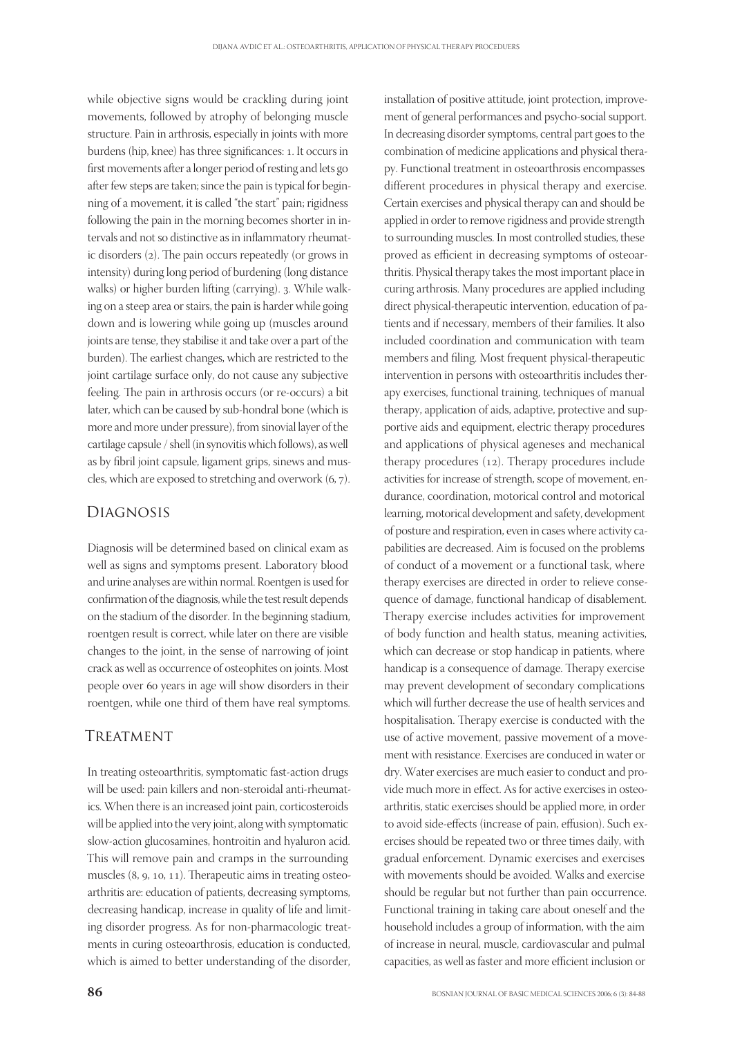while objective signs would be crackling during joint movements, followed by atrophy of belonging muscle structure. Pain in arthrosis, especially in joints with more burdens (hip, knee) has three significances: 1. It occurs in first movements after a longer period of resting and lets go after few steps are taken; since the pain is typical for beginning of a movement, it is called "the start" pain; rigidness following the pain in the morning becomes shorter in intervals and not so distinctive as in inflammatory rheumatic disorders (2). The pain occurs repeatedly (or grows in intensity) during long period of burdening (long distance walks) or higher burden lifting (carrying). 3. While walking on a steep area or stairs, the pain is harder while going down and is lowering while going up (muscles around joints are tense, they stabilise it and take over a part of the burden). The earliest changes, which are restricted to the joint cartilage surface only, do not cause any subjective feeling. The pain in arthrosis occurs (or re-occurs) a bit later, which can be caused by sub-hondral bone (which is more and more under pressure), from sinovial layer of the cartilage capsule / shell (in synovitis which follows), as well as by fibril joint capsule, ligament grips, sinews and muscles, which are exposed to stretching and overwork  $(6, 7)$ .

## Diagnosis

Diagnosis will be determined based on clinical exam as well as signs and symptoms present. Laboratory blood and urine analyses are within normal. Roentgen is used for confirmation of the diagnosis, while the test result depends on the stadium of the disorder. In the beginning stadium, roentgen result is correct, while later on there are visible changes to the joint, in the sense of narrowing of joint crack as well as occurrence of osteophites on joints. Most people over 60 years in age will show disorders in their roentgen, while one third of them have real symptoms.

#### TREATMENT

In treating osteoarthritis, symptomatic fast-action drugs will be used: pain killers and non-steroidal anti-rheumatics. When there is an increased joint pain, corticosteroids will be applied into the very joint, along with symptomatic slow-action glucosamines, hontroitin and hyaluron acid. This will remove pain and cramps in the surrounding muscles  $(8, 9, 10, 11)$ . Therapeutic aims in treating osteoarthritis are: education of patients, decreasing symptoms, decreasing handicap, increase in quality of life and limiting disorder progress. As for non-pharmacologic treatments in curing osteoarthrosis, education is conducted, which is aimed to better understanding of the disorder, ment of general performances and psycho-social support. In decreasing disorder symptoms, central part goes to the combination of medicine applications and physical therapy. Functional treatment in osteoarthrosis encompasses different procedures in physical therapy and exercise. Certain exercises and physical therapy can and should be applied in order to remove rigidness and provide strength to surrounding muscles. In most controlled studies, these proved as efficient in decreasing symptoms of osteoarthritis. Physical therapy takes the most important place in curing arthrosis. Many procedures are applied including direct physical-therapeutic intervention, education of patients and if necessary, members of their families. It also included coordination and communication with team members and filing. Most frequent physical-therapeutic intervention in persons with osteoarthritis includes therapy exercises, functional training, techniques of manual therapy, application of aids, adaptive, protective and supportive aids and equipment, electric therapy procedures and applications of physical ageneses and mechanical therapy procedures  $(12)$ . Therapy procedures include activities for increase of strength, scope of movement, endurance, coordination, motorical control and motorical learning, motorical development and safety, development of posture and respiration, even in cases where activity capabilities are decreased. Aim is focused on the problems of conduct of a movement or a functional task, where therapy exercises are directed in order to relieve consequence of damage, functional handicap of disablement. Therapy exercise includes activities for improvement of body function and health status, meaning activities, which can decrease or stop handicap in patients, where handicap is a consequence of damage. Therapy exercise may prevent development of secondary complications which will further decrease the use of health services and hospitalisation. Therapy exercise is conducted with the use of active movement, passive movement of a movement with resistance. Exercises are conduced in water or dry. Water exercises are much easier to conduct and provide much more in effect. As for active exercises in osteoarthritis, static exercises should be applied more, in order to avoid side-effects (increase of pain, effusion). Such exercises should be repeated two or three times daily, with gradual enforcement. Dynamic exercises and exercises with movements should be avoided. Walks and exercise should be regular but not further than pain occurrence. Functional training in taking care about oneself and the household includes a group of information, with the aim of increase in neural, muscle, cardiovascular and pulmal capacities, as well as faster and more efficient inclusion or

installation of positive attitude, joint protection, improve-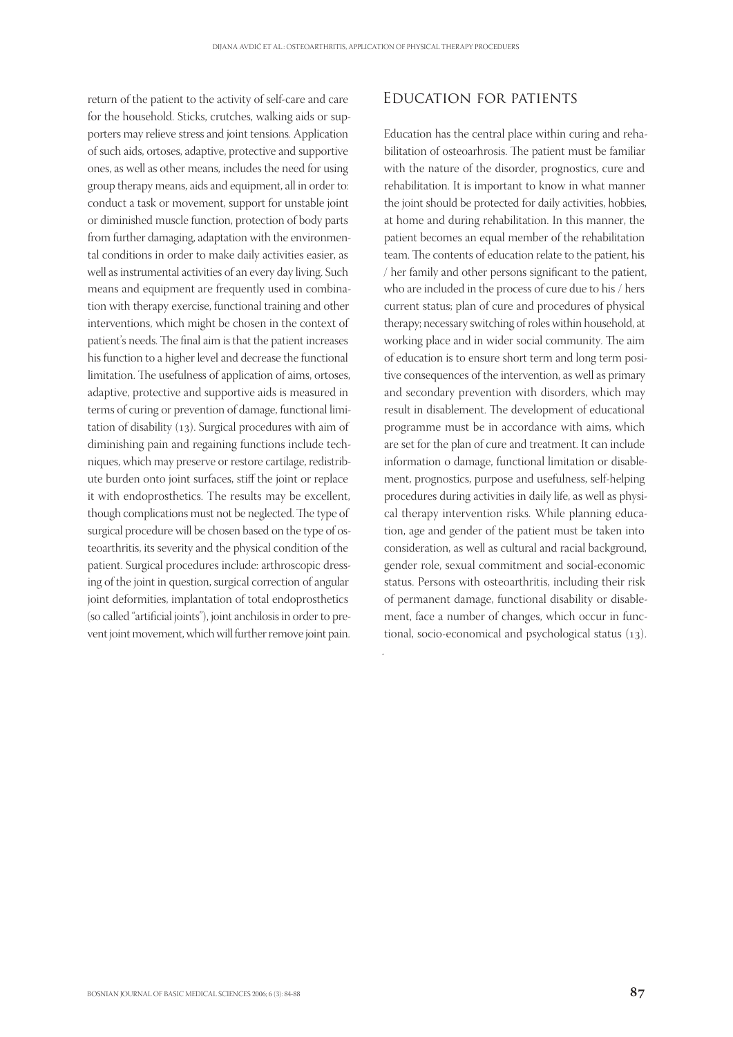.

return of the patient to the activity of self-care and care for the household. Sticks, crutches, walking aids or supporters may relieve stress and joint tensions. Application of such aids, ortoses, adaptive, protective and supportive ones, as well as other means, includes the need for using group therapy means, aids and equipment, all in order to: conduct a task or movement, support for unstable joint or diminished muscle function, protection of body parts from further damaging, adaptation with the environmental conditions in order to make daily activities easier, as well as instrumental activities of an every day living. Such means and equipment are frequently used in combination with therapy exercise, functional training and other interventions, which might be chosen in the context of patient's needs. The final aim is that the patient increases his function to a higher level and decrease the functional limitation. The usefulness of application of aims, ortoses, adaptive, protective and supportive aids is measured in terms of curing or prevention of damage, functional limitation of disability  $(13)$ . Surgical procedures with aim of diminishing pain and regaining functions include techniques, which may preserve or restore cartilage, redistribute burden onto joint surfaces, stiff the joint or replace it with endoprosthetics. The results may be excellent, though complications must not be neglected. The type of surgical procedure will be chosen based on the type of osteoarthritis, its severity and the physical condition of the patient. Surgical procedures include: arthroscopic dressing of the joint in question, surgical correction of angular joint deformities, implantation of total endoprosthetics (so called "artificial joints"), joint anchilosis in order to prevent joint movement, which will further remove joint pain.

# Education for patients

Education has the central place within curing and rehabilitation of osteoarhrosis. The patient must be familiar with the nature of the disorder, prognostics, cure and rehabilitation. It is important to know in what manner the joint should be protected for daily activities, hobbies, at home and during rehabilitation. In this manner, the patient becomes an equal member of the rehabilitation team. The contents of education relate to the patient, his / her family and other persons significant to the patient, who are included in the process of cure due to his / hers current status; plan of cure and procedures of physical therapy; necessary switching of roles within household, at working place and in wider social community. The aim of education is to ensure short term and long term positive consequences of the intervention, as well as primary and secondary prevention with disorders, which may result in disablement. The development of educational programme must be in accordance with aims, which are set for the plan of cure and treatment. It can include information o damage, functional limitation or disablement, prognostics, purpose and usefulness, self-helping procedures during activities in daily life, as well as physical therapy intervention risks. While planning education, age and gender of the patient must be taken into consideration, as well as cultural and racial background, gender role, sexual commitment and social-economic status. Persons with osteoarthritis, including their risk of permanent damage, functional disability or disablement, face a number of changes, which occur in functional, socio-economical and psychological status  $(13)$ .